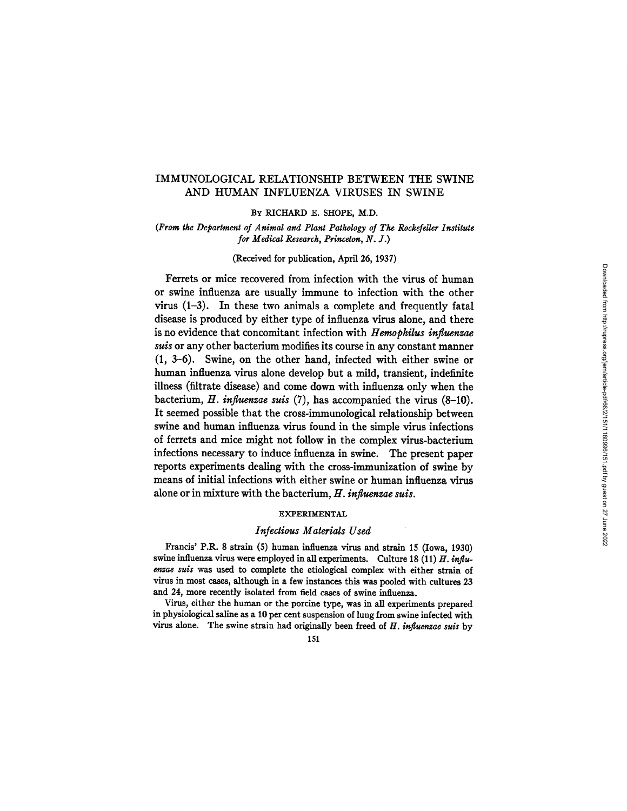## IMMUNOLOGICAL RELATIONSHIP BETWEEN THE SWINE AND HUMAN INFLUENZA VIRUSES IN SWINE

BY RICHARD E. SHOPE, M.D.

*(From tke Department of Animal and Plant Patkology of Tke Rockefeller Institute for Medical Research, Princeton, N. J.*)

(Received for publication, April 26, 1937)

Ferrets or mice recovered from infection with the virus of human or swine influenza are usually immune to infection with the other virus (1-3). In these two animals a complete and frequently fatal disease is produced by either type of influenza virus alone, and there is no evidence that concomitant infection with *Hemophitus influenzae suis* or any other bacterium modifies its course in any constant manner (1, 3-6). Swine, on the other hand, infected with either swine or human influenza virus alone develop but a mild, transient, indefinite illness (filtrate disease) and come down with influenza only when the bacterium, *H. influemae suis* (7), has accompanied the virus (8-10). It seemed possible that the cross-immunological relationship between swine and human influenza virus found in the simple virus infections of ferrets and mice might not follow in the complex virus-bacterium infections necessary to induce influenza in swine. The present paper reports experiments dealing with the cross-immunization of swine by means of initial infections with either swine or human influenza virus alone or in mixture with the bacterium, *H. influenzae suis.* 

### EXPERIMENTAL

### *Infectious Materials Used*

Francis' P.R. 8 strain (5) human influenza virus and strain 15 (Iowa, 1930) swine influenza virus were employed in all experiments. Culture 18 (11) *H. influenzae suis* was used to complete the etiological complex with either strain of virus in most cases, although in a few instances this was pooled with cultures 23 and 24, more recently isolated from field cases of swine influenza.

Virus, either the human or the porcine type, was in all experiments prepared in physiological saline as a 10 per cent suspension of lung from swine infected with virus alone. The swine strain had originally been freed of *H. influenzae suis* by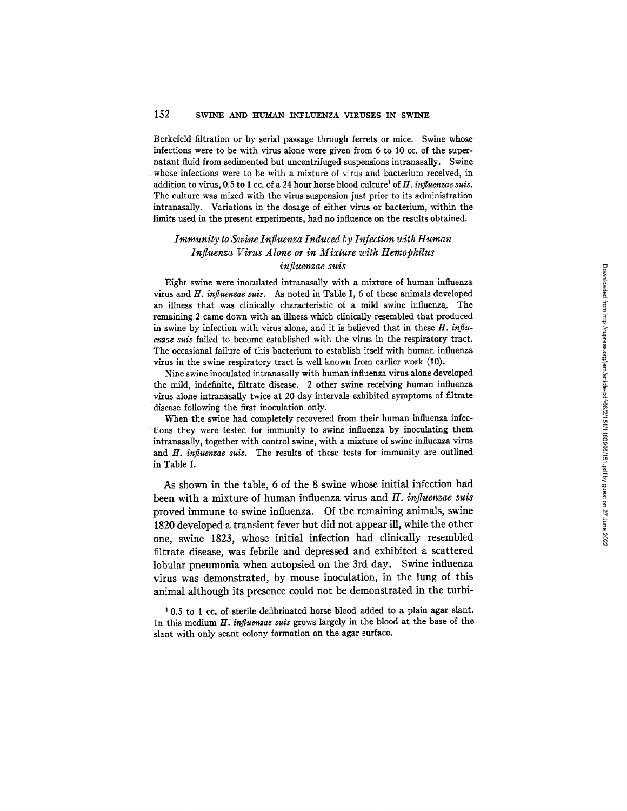#### 152 SWINE AND HUMAN *INFLUENZA* VIRUSES IN SWINE

Berkefeld filtration or by serial passage through ferrets or mice. Swine whose infections were to be with virus alone were given from 6 to 10 cc. of the supernatant fluid from sedimented but uncentrifuged suspensions intranasally. Swine whose infections were to be with a mixture of virus and bacterium received, in addition to virus, 0.5 to 1 cc. of a 24 hour horse blood culture<sup>1</sup> of *H. influenzae suis.* The culture was mixed with the virus suspension just prior to its administration intranasally. Variations in the dosage of either virus or bacterium, within the limits used in the present experiments, had no influence on the results obtained.

## *Immunity to Swine Influenza Induced by Infection with Human Influenza Virus Alone or in Mixture with Hemophilus influenzae suis*

Eight swine were inoculated intranasally with a mixture of human influenza virus and *H. influenzae suis.* As noted in Table I, 6 of these animals developed an illness that was clinically characteristic of a mild swine influenza. The remaining 2 came down with an illness which clinically resembled that produced in swine by infection with virus alone, and it is believed that in these *H*. *influenzae suis* failed to become established with the virus in the respiratory tract. The occasional failure of this bacterium to establish itself with human influenza virus in the swine respiratory tract is well known from earlier work (10).

Nine swine inoculated intranasally with human influenza virus alone developed the mild, indefinite, filtrate disease. 2 other swine receiving human influenza virus alone intranasally twice at 20 day intervals exhibited symptoms of filtrate disease following the first inoculation only.

When the swine had completely recovered from their human influenza infections they were tested for immunity to swine influenza by inoculating them intranasally, together with control swine, with a mixture of swine influenza virus and *H. influenzae suis.* The results of these tests for immunity are outlined in Table I.

As shown in the table, 6 of the 8 swine whose initial infection had been with a mixture of human influenza virus and *H. influenzae suis*  proved immune to swine influenza. Of the remaining animals, swine 1820 developed a transient fever but did not appear ill, while the other one, swine 1823, whose initial infection had clinically resembled filtrate disease, was febrile and depressed and exhibited a scattered lobular pneumonia when autopsied on the 3rd day. Swine influenza virus was demonstrated, by mouse inoculation, in the lung of this animal although its presence could not be demonstrated in the turbi-

<sup>1</sup>0.5 to 1 cc. of sterile defibrinated horse blood added to a plain agar slant. In this medium *H. influenzae suis* grows largely in the blood at the base of the slant with only scant colony formation on the agar surface.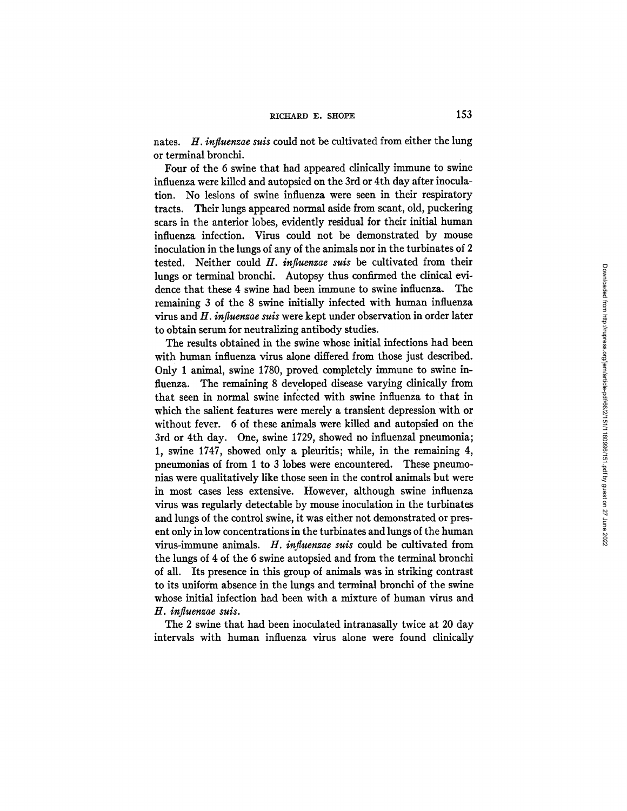hates. *H. influenzae suis* could not be cultivated from either the lung or terminal bronchi.

Four of the 6 swine that had appeared clinically immune to swine influenza were killed and autopsied on the 3rd or 4th day after inoculation. No lesions of swine influenza were seen in their respiratory tracts. Their lungs appeared normal aside from scant, old, puckering scars in the anterior lobes, evidently residual for their initial human influenza infection. Virus could not be demonstrated by mouse inoculation in the lungs of any of the animals nor in the turbinates of 2 tested. Neither could *H. influenzae suis* be cultivated from their lungs or terminal bronchi. Autopsy thus confirmed the clinical evidence that these 4 swine had been immune to swine influenza. The remaining 3 of the 8 swine initially infected with human influenza virus and *H. influenzae suis* were kept under observation in order later to obtain serum for neutralizing antibody studies.

The results obtained in the swine whose initial infections had been with human influenza virus alone differed from those just described. Only 1 animal, swine 1780, proved completely immune to swine influenza. The remaining 8 developed disease varying clinically from that seen in normal swine infected with swine influenza to that in which the salient features were merely a transient depression with or without fever. 6 of these animals were killed and autopsied on the 3rd or 4th day. One, swine 1729, showed no influenzal pneumonia; 1, swine 1747, showed only a pleuritis; while, in the remaining 4, pneumonias of from 1 to 3 lobes were encountered. These pneumonias were qualitatively like those seen in the control animals but were in most cases less extensive. However, although swine influenza virus was regularly detectable by mouse inoculation in the turbinatea and lungs of the control swine, it was either not demonstrated or present only in low concentrations in the turbinates and lungs of the human virus-lmmune animals. *H. influenzae suis* could be cultivated from the lungs of 4 of the 6 swine autopsied and from the terminal bronchi of all. Its presence in this group of animals was in striking contrast to its uniform absence in the lungs and terminal bronchi of the swine whose initial infection had been with a mixture of human virus and *H. influenzae suis.* 

The 2 swine that had been inoculated intranasally twice at 20 day intervals with human influenza virus alone were found clinically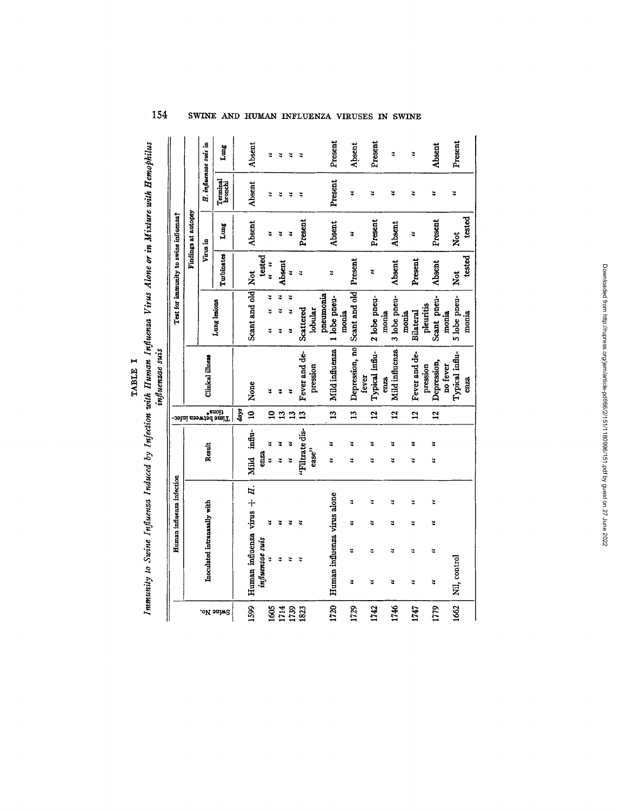TABLE I

Immunily to Swine Influenza Induced by Infection with Human Influenza Virus Alone or in Mixture with Hemophilus<br>influenzae suis

|           |                              | Human influenza infection |    |            |                |                               |                         |                   | Test for immunity to swine influenzat |                     |                     |                       |
|-----------|------------------------------|---------------------------|----|------------|----------------|-------------------------------|-------------------------|-------------------|---------------------------------------|---------------------|---------------------|-----------------------|
|           |                              |                           |    |            |                |                               |                         |                   |                                       | Findings at autopsy |                     |                       |
|           | Inoculated intranasally with |                           |    |            | Result         |                               | Clinical illness        |                   | Virus in                              |                     |                     | H. influenzae suis in |
| Swine No. |                              |                           |    |            |                | Time between infec-<br>tions* |                         | Lung lesions      | Turbinates                            | Lung                | Terminal<br>bronchi | Lung                  |
|           |                              |                           |    |            |                | days                          |                         |                   |                                       |                     |                     |                       |
| 1599      | Human influenza virus $+E$ . |                           |    |            | Mild influ-    | $\mathbf{a}$                  | None                    | Scant and old Not |                                       | Absent              | Absent              | Absent                |
|           | influenzae suis              |                           |    | enza       |                |                               |                         |                   | tested                                |                     |                     |                       |
| 1605      | 4                            |                           |    | $\ddot{ }$ | 3              | $\mathbf{a}$                  | ៵                       | ă<br>ă            | $\frac{1}{2}$                         | ă                   | ž                   | 2                     |
| 1714      | ะ                            |                           |    | ă          | ٧              | $\overline{13}$               |                         | ۵                 | Absent                                | 3                   | ะ                   | ҉                     |
| 1739      | ҉                            | ×                         |    | ă          | ៵              | 13                            |                         | ë                 | ă                                     | ₹                   | ҉                   | ҉                     |
| 1823      | ٧                            | ะ                         |    |            | "Filtrate dis- | $\ddot{3}$                    | Fever and de-           | Scattered         | ă                                     | Present             | ă                   | ٧                     |
|           |                              |                           |    | ease"      |                |                               | pression                | lobular           |                                       |                     |                     |                       |
|           |                              |                           |    |            |                |                               |                         | pneumonia         |                                       |                     |                     |                       |
| 1720      | Human influenza virus alone  |                           |    | ž          | $\ddot{ }$     | $\frac{3}{2}$                 | Mild influenza          | 1 lobe pneu-      | ¥                                     | Absent              | Present             | Present               |
|           |                              |                           |    |            |                |                               |                         | monia             |                                       |                     |                     |                       |
| 1729      | ž<br>$\ddot{ }$              | ٧                         | ă  | $\ddot{a}$ | ă              | $\overline{13}$               | Depression, no<br>fever | Scant and old     | Present                               | ₹                   | ă                   | Absent                |
| 1742      | ¥<br>ă,                      | ≈                         | ¥  | 3          | 3              | $\overline{a}$                | Typical influ-          | 2 lobe pneu-      | ă                                     | Present             | ҉                   | Present               |
|           |                              |                           |    |            |                |                               | enza                    | monia             |                                       |                     |                     |                       |
| 1746      | ะ<br>z                       | z                         | ҉  | ă          | Ξ              | $\mathbf{a}$                  | Mild influenza          | 3 lobe pneu-      | Absent                                | Absent              | 3                   | ă                     |
|           |                              |                           |    |            |                |                               |                         | monia             |                                       |                     |                     |                       |
| 1747      | ¥<br>ă                       | ÷                         | ä, | ¥          | 3              | $\overline{a}$                | Fever and de-           | Bilateral         | Present                               | ¥                   | š                   | z                     |
|           |                              |                           |    |            |                |                               | pression                | pleuritis         |                                       |                     |                     |                       |
| 1779      | ž<br>ă                       | ₩                         | ¥  | ₹          | ă              | $\overline{a}$                | Depression,             | Scant pneu-       | Absent                                | Present             | ¥                   | Absent                |
|           |                              |                           |    |            |                |                               | no fever                | monia             |                                       |                     |                     |                       |
| 1662      | Nil, control                 |                           |    |            |                |                               | Typical influ-          | 5 lobe pneu-      | ž<br>Ž                                | X <sub>ot</sub>     | 4                   | Present               |
|           |                              |                           |    |            |                |                               | enza                    | monia             | tested                                | tested              |                     |                       |

# $154$  SWINE AND HUMAN INFLUENZA VIRUSES IN SWINE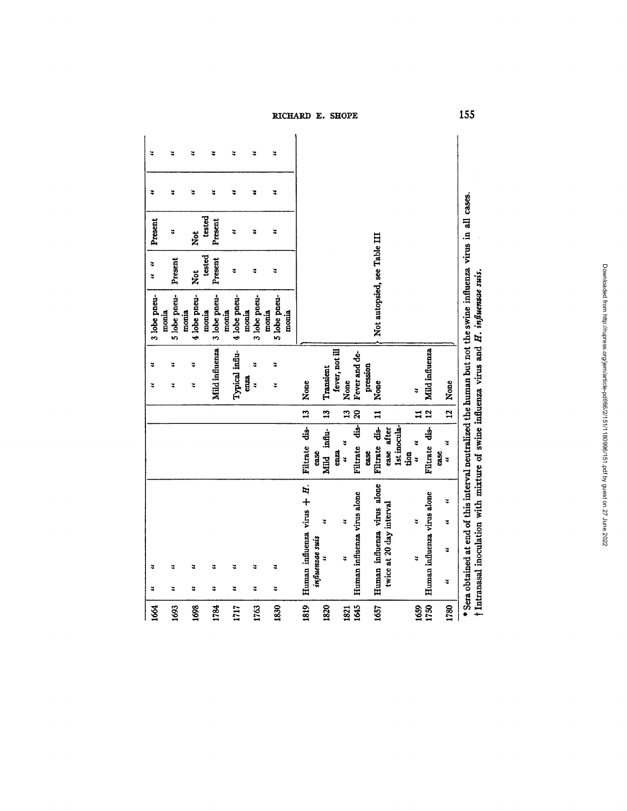| 1664 | ă | ă                                                                                                                                                                                                 |                 |                 | ă<br>¥          | 3 lobe pneu-                 | $\frac{1}{2}$ | Present    | ÷ | ÷, |
|------|---|---------------------------------------------------------------------------------------------------------------------------------------------------------------------------------------------------|-----------------|-----------------|-----------------|------------------------------|---------------|------------|---|----|
|      |   |                                                                                                                                                                                                   |                 |                 |                 | monia                        |               |            |   |    |
| 1693 | 3 | ă                                                                                                                                                                                                 |                 |                 | 2<br>ă          | 5 lobe pneu-                 | Present       | 3          | ₹ | ¥  |
|      |   |                                                                                                                                                                                                   |                 |                 |                 | monia                        |               |            |   |    |
| 1698 | ă | 2                                                                                                                                                                                                 |                 |                 | 3<br>₹          | 4 lobe pneu-                 | Not           | Not        | ₩ | ă  |
|      |   |                                                                                                                                                                                                   |                 |                 |                 | monia                        | tested        | tested     |   |    |
| 1784 | 3 | ž                                                                                                                                                                                                 |                 |                 | Mild influenza  | 3 lobe pneu-                 | Present       | Present    | ă | ₩  |
|      |   |                                                                                                                                                                                                   |                 |                 |                 | monia                        |               |            |   |    |
| 1717 | ž | ž                                                                                                                                                                                                 |                 |                 | Typical influ-  | 4 lobe pneu-                 | ă             | $\ddot{ }$ | э | ¥  |
|      |   |                                                                                                                                                                                                   |                 |                 | enza            | monia                        |               |            |   |    |
| 1763 | ž | ž                                                                                                                                                                                                 |                 |                 | ă<br>$\ddot{•}$ | 3 lobe pneu-                 | ¥             | z          | ҉ | ă  |
|      |   |                                                                                                                                                                                                   |                 |                 |                 | monia                        |               |            |   |    |
| 1830 | š | z                                                                                                                                                                                                 |                 |                 | ă<br>₹          | 5 lobe pneu-                 | ₩             | ¥          | ₹ | ₩  |
|      |   |                                                                                                                                                                                                   |                 |                 |                 | monia                        |               |            |   |    |
| 1819 |   | Human influenza virus $+ H$ .                                                                                                                                                                     | Filtrate dis-   | $\frac{13}{2}$  | None            |                              |               |            |   |    |
|      |   | infuenzae suis                                                                                                                                                                                    | ease            |                 |                 |                              |               |            |   |    |
| 1820 |   | ă<br>3                                                                                                                                                                                            | Mild influ-     | $\frac{13}{ }$  | Transient       |                              |               |            |   |    |
|      |   |                                                                                                                                                                                                   | enza            |                 | fever, not ill  |                              |               |            |   |    |
| 1821 |   | 3<br>٧                                                                                                                                                                                            | ž<br>u          | $\overline{13}$ | None            |                              |               |            |   |    |
| 1645 |   | Human influenza virus alone                                                                                                                                                                       | Filtrate dis-   | $\frac{1}{2}$   | Fever and de-   |                              |               |            |   |    |
|      |   |                                                                                                                                                                                                   | ease            |                 | pression        |                              |               |            |   |    |
| 1657 |   | Human influenza virus alone                                                                                                                                                                       | Filtrate dis-   | $\mathbf{H}$    | None            | Not autopsied, see Table III |               |            |   |    |
|      |   | twice at 20 day interval                                                                                                                                                                          | ease after      |                 |                 |                              |               |            |   |    |
|      |   |                                                                                                                                                                                                   | 1st inocula-    |                 |                 |                              |               |            |   |    |
|      |   |                                                                                                                                                                                                   | tion            |                 |                 |                              |               |            |   |    |
| 1659 |   | ë<br>₹                                                                                                                                                                                            | ž<br>¥          | $\mathbf{1}$    | ¥               |                              |               |            |   |    |
| 1750 |   | Human influenza virus alone                                                                                                                                                                       | Filtrate dis-   | $\frac{1}{2}$   | Mild influenza  |                              |               |            |   |    |
|      |   |                                                                                                                                                                                                   | ease            |                 |                 |                              |               |            |   |    |
| 1780 | 4 | ¥<br>ă<br>ă                                                                                                                                                                                       | 3<br>$\ddot{ }$ | $\frac{1}{2}$   | None            |                              |               |            |   |    |
|      |   | *Sera obtained at end of this interval neutralized the human but not the swine influenza virus in all cases.<br>the common large the state of the common the common common contract $H$ is common |                 |                 |                 |                              |               |            |   |    |

and H. influenzae suis. virus Thiranasal inoculation with mixture of swine influenza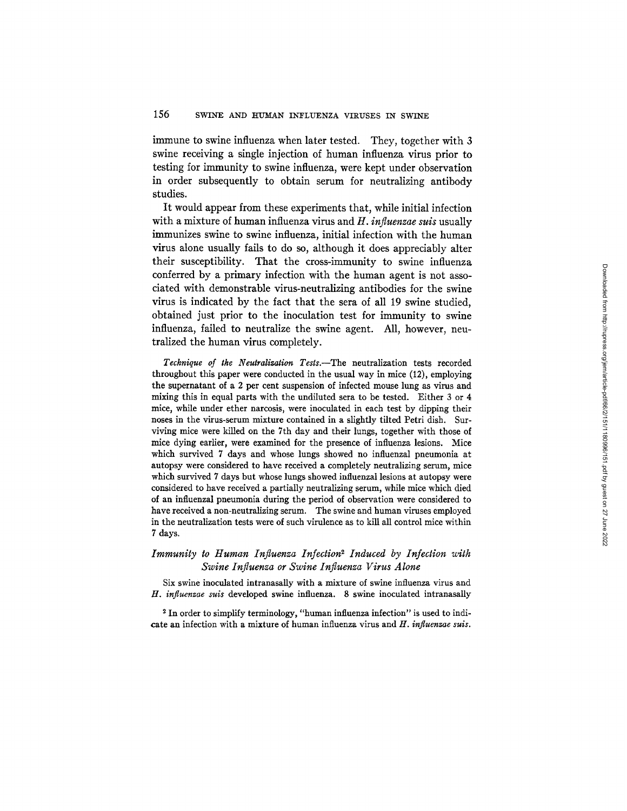immune to swine influenza when later tested. They, together with 3 swine receiving a single injection of human influenza virus prior to testing for immunity to swine influenza, were kept under observation in order subsequently to obtain serum for neutralizing antibody studies.

It would appear from these experiments that, while initial infection with a mixture of human influenza virus and *H. influenzae suis* usually immunizes swine to swine influenza, initial infection with the human virus alone usually fails to do so, although it does appreciably alter their susceptibility. That the cross-immunity to swine influenza conferred by a primary infection with the human agent is not associated with demonstrable virus-neutralizing antibodies for the swine virus is indicated by the fact that the sera of all 19 swine studied, obtained just prior to the inoculation test for immunity to swine influenza, failed to neutralize the swine agent. All, however, neutralized the human virus completely.

*Technique of the Neutralization Tests.--The* neutralization tests recorded throughout this paper were conducted in the usual way in mice (12), employing the supernatant of a 2 per cent suspension of infected mouse lung as virus and mixing this in equal parts with the undiluted sera to be tested. Either 3 or 4 mice, while under ether narcosis, were inoculated in each test by dipping their noses in the virus-serum mixture contained in a slightly tilted Petri dish. Surviving mice were killed on the 7th day and their lungs, together with those of mice dying earlier, were examined for the presence of influenza lesions. Mice which survived 7 days and whose lungs showed no influenzal pneumonia at autopsy were considered to have received a completely neutralizing serum, mice which survived 7 days but whose lungs showed influenzal lesions at autopsy were considered to have received a partially neutralizing serum, while mice which died of an influenzal pneumonia during the period of observation were considered to have received a non-neutralizing serum. The swine and human viruses employed in the neutralization tests were of such virulence as to kill all control mice within 7 days.

### *Immunity to Human Influenza Infection 2 Induced by Infection with Swine Influenza or Swine Influenza Virus Alone*

Six swine inoculated intranasally with a mixture of swine influenza virus and *H. influenzae suis* developed swine influenza. 8 swine inoculated intranasally

<sup>2</sup> In order to simplify terminology, "human influenza infection" is used to indicate an infection with a mixture of human influenza virus and *H. influenzae suis.*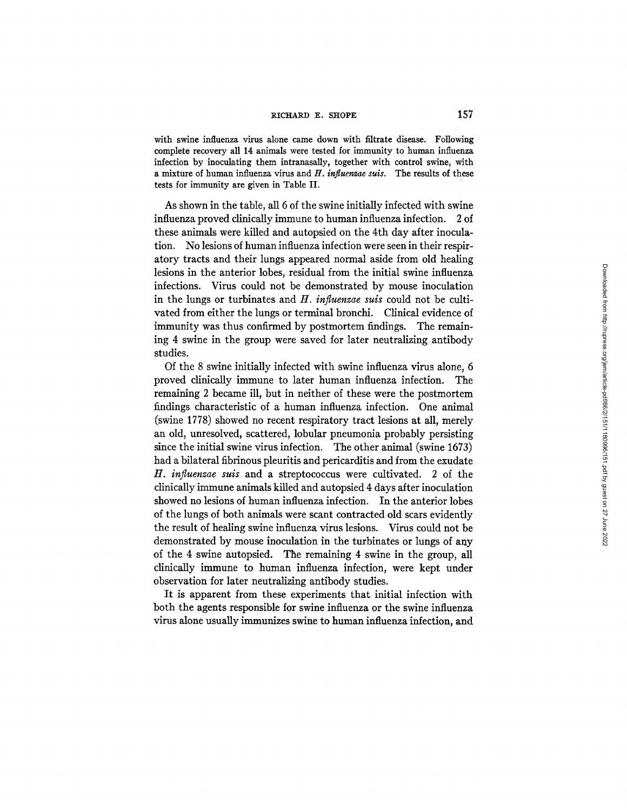with swine influenza virus alone came down with filtrate disease. Following complete recovery all 14 animals were tested for immunity to human influenza infection by inoculating them intranasally, together with control swine, with a mixture of human influenza virus and *H. influenzae suis.* The results of these tests for immunity are given in Table II.

As shown in the table, all 6 of the swine initially infected with swine influenza proved clinically immune to human influenza infection. 2 of these animals were killed and autopsied on the 4th day after inoculation. No lesions of human influenza infection were seen in their respiratory tracts and their lungs appeared normal aside from old healing lesions in the anterior lobes, residual from the initial swine influenza infections. Virus could not be demonstrated by mouse inoculation in the lungs or turbinates and *H. influenzae suis* could not be cultivated from either the lungs or terminal bronchi. Clinical evidence of immunity was thus confirmed by postmortem findings. The remaining 4 swine in the group were saved for later neutralizing antibody studies.

Of the 8 swine initially infected with swine influenza virus alone, 6 proved clinically immune to later human influenza infection. The remaining 2 became ill, but in neither of these were the postmortem findings characteristic of a human influenza infection. One animal (swine 1778) showed no recent respiratory tract lesions at all, merely an old, unresolved, scattered, lobular pneumonia probably persisting since the initial swine virus infection. The other animal (swine 1673) had a bilateral fibrinous pleuritis and pericarditis and from the exudate *H. influenzae suis* and a streptococcus were cultivated. 2 of the clinically immune animals killed and autopsied 4 days after inoculation showed no lesions of human influenza infection. In the anterior lobes of the lungs of both animals were scant contracted old scars evidently the result of healing swine influenza virus lesions. Virus could not be demonstrated by mouse inoculation in the turbinates or lungs of any of the 4 swine autopsied. The remaining 4 swine in the group, all clinically immune to human influenza infection, were kept under observation for later neutralizing antibody studies.

It is apparent from these experiments that initial infection with both the agents responsible for swine influenza or the swine influenza virus alone usually immunizes swine to human influenza infection, and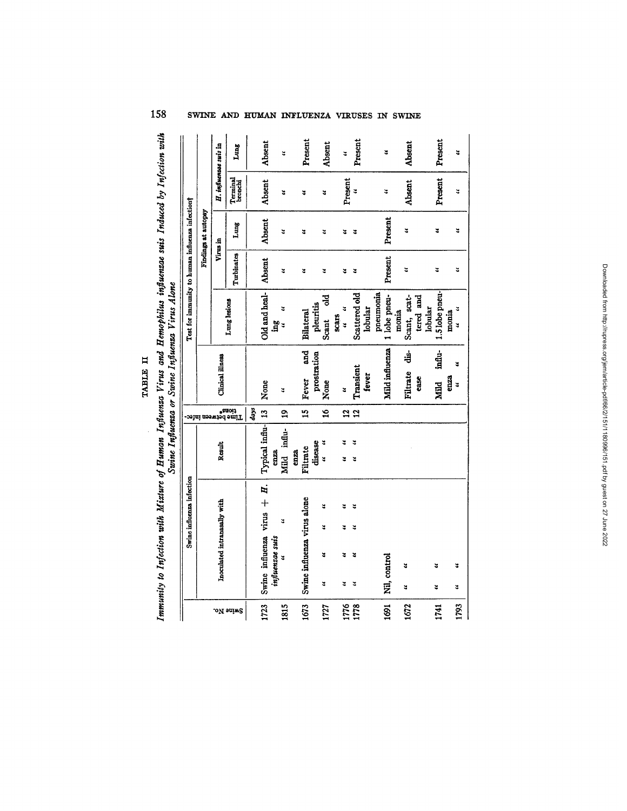| □           |  |
|-------------|--|
| Р<br>۹<br>F |  |

Immunity to Infection with Mixture of Humon Influenza Virus and Hemophilus influenzae suis Induced by Infection with<br>Swine Information of Swine Influenza or Swine Influenza Virus Alone

|           |              |                                 |   | Swine influenza infection |            |                   |                               |                       | Test for immunity to human influenza infection |            |                     |                            |         |
|-----------|--------------|---------------------------------|---|---------------------------|------------|-------------------|-------------------------------|-----------------------|------------------------------------------------|------------|---------------------|----------------------------|---------|
|           |              |                                 |   |                           |            |                   |                               |                       |                                                |            | Findings at autopsy |                            |         |
|           |              | Inoculated intranasally with    |   |                           |            | Result            |                               | Clinical illness      |                                                | Virus in   |                     | H. influenzae suis in      |         |
| Swine No. |              |                                 |   |                           |            |                   | Time between infec-<br>tions* |                       | Lung lesions                                   | Turbinates | Lung                | <b>Terminal</b><br>bronchi | Lung    |
|           |              |                                 |   |                           |            |                   | days                          |                       |                                                |            |                     |                            |         |
| 1723      |              | Swine influenza virus $+$ $H$ . |   |                           |            | Typical influ- 13 |                               | None                  | Old and heal- Absent                           |            | Absent              | Absent                     | Absent  |
|           |              | infuenzae suis                  |   |                           | enza       |                   |                               |                       | a<br>Bu                                        |            |                     |                            |         |
| 1815      |              | $\ddot{a}$                      | 2 |                           |            | Mild influ-       | $\mathbf{a}$                  | 4                     |                                                | z          | ă                   | ă                          | ă       |
|           |              |                                 |   |                           | enza       |                   |                               |                       |                                                |            |                     |                            |         |
| 1673      |              | Swine influenza virus alone     |   |                           | Filtrate   |                   | 13                            | and<br>Fever          | Bilateral                                      | ≍          | ă                   | ä                          | Present |
|           |              |                                 |   |                           |            | disease           |                               | prostration           | pleuritis                                      |            |                     |                            |         |
| 1727      | 2            | ₹                               | z | ¥                         | $\ddot{ }$ | ă                 | $\tilde{a}$                   | None                  | dd<br>Scant                                    | ะ          | ż                   | ¥                          | Absent  |
|           |              |                                 |   |                           |            |                   |                               |                       | <b>SCBTS</b>                                   |            |                     |                            |         |
| 1776      |              | 3                               | 3 |                           | ž          |                   | Z,                            | ž                     | š<br>$\ddot{\phantom{0}}$                      | ะ          | ٣                   | Present                    | 3       |
| 1778      | ะ            | ۳                               | ¥ |                           | ž          | ะ                 | $\overline{a}$                | Transient             | Scattered old                                  | ะ          | 2                   | ă                          | Present |
|           |              |                                 |   |                           |            |                   |                               | fever                 | lobular                                        |            |                     |                            |         |
|           |              |                                 |   |                           |            |                   |                               |                       | pneumonia                                      |            |                     |                            |         |
| 1691      | Nil, control |                                 |   |                           |            |                   |                               | Mild influenza        | 1 lobe pneu-                                   | Present    | Present             | ă                          | ă,      |
|           |              |                                 |   |                           |            |                   |                               |                       | monia                                          |            |                     |                            |         |
| 1672      | 3            | 3                               |   |                           |            |                   |                               | Filtrate dis-         | Scant, scat-                                   | 4          | ă                   | Absent                     | Absent  |
|           |              |                                 |   |                           |            |                   |                               | ease                  | tered and                                      |            |                     |                            |         |
|           |              |                                 |   |                           |            |                   |                               |                       | lobular                                        |            |                     |                            |         |
| 1741      | ٣            | ۲                               |   |                           |            |                   |                               | influ-<br><b>Mild</b> | 1.5 lobe pneu-                                 | ҉          | ă                   | Present                    | Present |
|           |              |                                 |   |                           |            |                   |                               | enza                  | monia                                          |            |                     |                            |         |
| 1793      | ҉            |                                 |   |                           |            |                   |                               | ë<br>¥                | ¥<br>$\ddot{a}$                                | ă          | ă                   | ă                          | ă       |

# 158 SWINE AND HUMAN INFLUENZA VIRUSES IN SWINE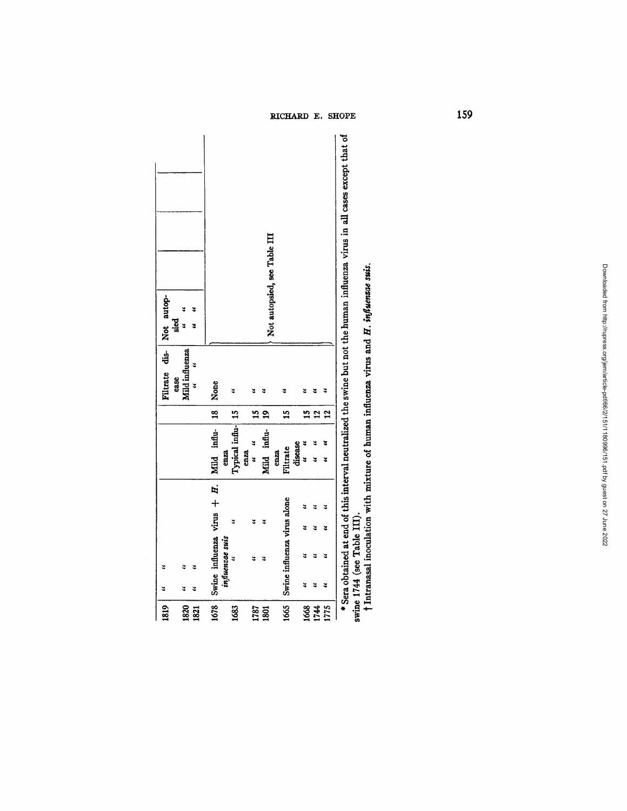| Filtrate dis- Not autop- | sied |                | 3<br>¥    |                                              |                 |                   |       |      | Not autopsied, see Table III |      |                             |         |               |                |                | * Sera obtained at end of this interval neutralized the swine but not the human influenza virus in all cases except that of |
|--------------------------|------|----------------|-----------|----------------------------------------------|-----------------|-------------------|-------|------|------------------------------|------|-----------------------------|---------|---------------|----------------|----------------|-----------------------------------------------------------------------------------------------------------------------------|
|                          | ease | Mild influenza | 4         | None                                         |                 |                   |       |      |                              |      |                             |         |               |                |                |                                                                                                                             |
|                          |      |                |           |                                              |                 |                   |       | 15   | $\mathbf{a}$                 |      | 13                          |         | $\frac{5}{1}$ | $\overline{5}$ | $\overline{5}$ |                                                                                                                             |
|                          |      |                |           |                                              | <b>Ch2A</b>     | Typical influ- 15 | enza. | ă    | $Mid$ $indu-$                | enza | Filtrate                    | disease | u<br>u        |                | 3              |                                                                                                                             |
|                          |      | 3              |           | Swine influenza virus $+ B$ . Mild influ- 18 | influenzae suis | ะ                 |       |      |                              |      | Swine influenza virus alone |         |               |                |                |                                                                                                                             |
| ¥<br>1819                |      | 3<br>1820      | ҉<br>1821 | 1678                                         |                 | 1683              |       | 1787 | 1801                         |      | 1665                        |         | 1668          | 1744           | 1775           |                                                                                                                             |

swine 1744 (see Table III).<br>† Intranasal inoculation with mixture of human influenza virus and  $H$ . influenzae suis.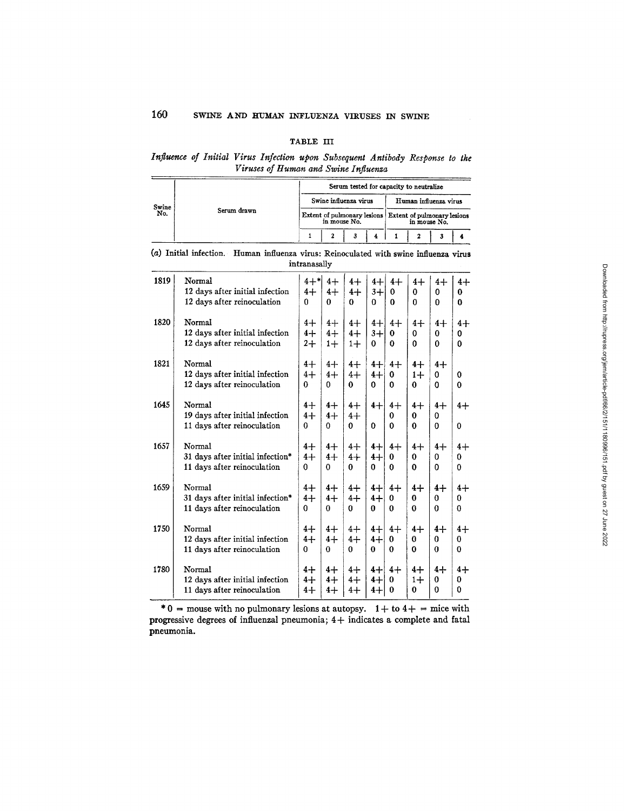#### TABLE III

### *Influence of Initial Virus Infection upon Subsequent Antibody Response to the Viruses of Human and Swine Influenza*

|              |             |  |                       | Serum tested for capacity to neutralize |   |                                                                           |  |
|--------------|-------------|--|-----------------------|-----------------------------------------|---|---------------------------------------------------------------------------|--|
|              |             |  | Swine influenza virus |                                         |   | Human influenza virus                                                     |  |
| Swine<br>No. | Serum drawn |  | in mouse No.          |                                         |   | Extent of pulmonary lesions   Extent of pulmonary lesions<br>in mouse No. |  |
|              |             |  |                       |                                         | 2 |                                                                           |  |

|  |  |              | (a) Initial infection. Human influenza virus: Reinoculated with swine influenza virus |  |  |
|--|--|--------------|---------------------------------------------------------------------------------------|--|--|
|  |  | intranasally |                                                                                       |  |  |

| 1819 | Normal                                                                   | $4+*$              | $4+$                      | $4+$              | $4+$                     | $4+$                  | $4+$              | $4 +$                        | $4+$          |
|------|--------------------------------------------------------------------------|--------------------|---------------------------|-------------------|--------------------------|-----------------------|-------------------|------------------------------|---------------|
|      | 12 days after initial infection                                          | $4+$               | $4+$                      | $4 +$             | $3+$                     | $\Omega$              | 0                 | $\Omega$                     | 0             |
|      | 12 days after reinoculation                                              | 0                  | 0                         | $\Omega$          | 0                        | $\Omega$              | 0                 | $\Omega$                     | 0             |
| 1820 | Normal                                                                   | $4+$               | $4+$                      | $4+$              | $4+$                     | $4+$                  | $4+$              | $4+$                         | $4+$          |
|      | 12 days after initial infection                                          | $4+$               | $4+$                      | $4+$              | $3+$                     | 0                     | 0                 | 0                            | 0             |
|      | 12 days after reinoculation                                              | $2+$               | $1+$                      | $1+$              | 0                        | 0                     | $\mathbf{0}$      | $\theta$                     | $\mathbf{0}$  |
| 1821 | Normal<br>12 days after initial infection<br>12 days after reinoculation | $4+$<br>$4+$<br>0  | $4+$<br>$4 +$<br>$\Omega$ | $4+$<br>$4+$<br>0 | $4+$<br>$4+$<br>$\Omega$ | $4+$<br>0<br>$\Omega$ | $4+$<br>$1+$<br>0 | $4+$<br>0<br>$\Omega$        | 0<br>$\bf{0}$ |
| 1645 | Normal<br>19 days after initial infection<br>11 days after reinoculation | $4+$<br>$4 +$<br>0 | $4+$<br>$4+$<br>0         | $4+$<br>$4+$<br>0 | $4+$<br>$\Omega$         | $4+$<br>0<br>$\Omega$ | $4+$<br>0<br>0    | $4+$<br>$\Omega$<br>$\Omega$ | $4+$<br>0     |
| 1657 | Normal                                                                   | $4+$               | $4+$                      | $4+$              | $4+$                     | $4+$                  | $4+$              | $4+$                         | $4+$          |
|      | 31 days after initial infection*                                         | $4+$               | $4+$                      | $4 +$             | $4+$                     | $\bf{0}$              | 0                 | $\Omega$                     | 0             |
|      | 11 days after reinoculation                                              | 0                  | 0                         | 0                 | o                        | $\Omega$              | $\Omega$          | $\Omega$                     | 0             |
| 1659 | Normal                                                                   | $4+$               | $4+$                      | $4+$              | $4+$                     | $4+$                  | $4+$              | $4+$                         | $4+$          |
|      | 31 days after initial infection*                                         | $4+$               | $4+$                      | $4 +$             | $4+$                     | 0                     | 0                 | 0                            | 0             |
|      | 11 days after reinoculation                                              | 0                  | $\Omega$                  | $\Omega$          | 0                        | 0                     | $\Omega$          | $\Omega$                     | 0             |
| 1750 | Normal                                                                   | $4+$               | $4+$                      | $4+$              | $4+$                     | $4+$                  | $4+$              | $4+$                         | $4+$          |
|      | 12 days after initial infection                                          | $4+$               | $4+$                      | $4+$              | $4 +$                    | 0                     | $\bf{0}$          | 0                            | 0             |
|      | 11 days after reinoculation                                              | 0                  | $\Omega$                  | $\Omega$          | 0                        | 0                     | $\Omega$          | 0                            | $\bf{0}$      |
| 1780 | Normal                                                                   | $4+$               | $4+$                      | $4+$              | $4+$                     | $4+$                  | $4+$              | $4+$                         | $4+$          |
|      | 12 days after initial infection                                          | $4+$               | $4+$                      | $4+$              | $4+$                     | 0                     | $1+$              | 0                            | 0             |
|      | 11 days after reinoculation                                              | $4+$               | $4+$                      | $4+$              | $4+$                     | 0                     | 0                 | $\Omega$                     | 0             |

\* 0 = mouse with no pulmonary lesions at autopsy.  $1+$  to  $4+$  = mice with progressive degrees of influenzal pneumonia; 4+ indicates a complete and fatal pneumonia.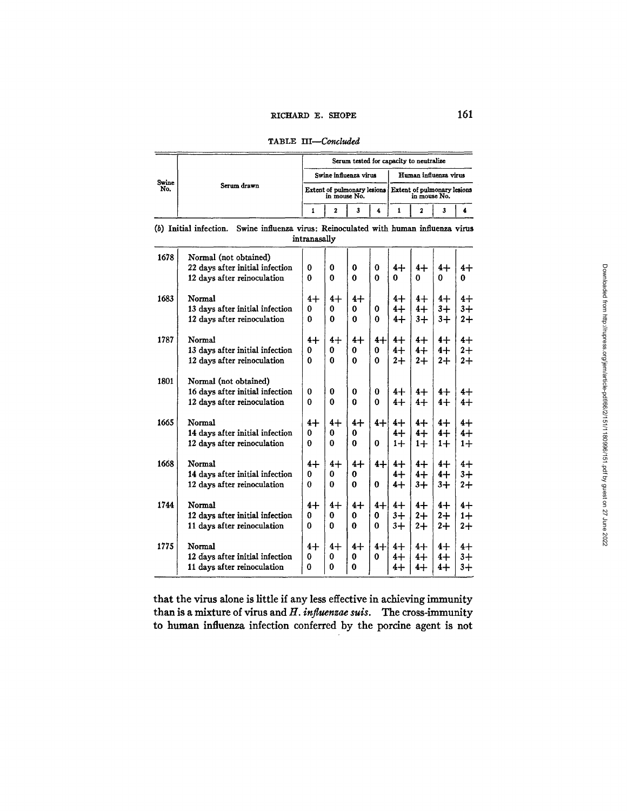|                     |                                                                                       |              |                                             | Serum tested for capacity to neutralize |      |      |              |                             |      |
|---------------------|---------------------------------------------------------------------------------------|--------------|---------------------------------------------|-----------------------------------------|------|------|--------------|-----------------------------|------|
|                     |                                                                                       |              | Swine influenza virus                       |                                         |      |      |              | Human influenza virus       |      |
| <b>Swine</b><br>No. | Serum drawn                                                                           |              | Extent of pulmonary lesions<br>in mouse No. |                                         |      |      | in mouse No. | Extent of pulmonary lesions |      |
|                     |                                                                                       | 1            | 2                                           | 3                                       | 4    | 1    | 2            | 3                           | 4    |
|                     | (b) Initial infection. Swine influenza virus: Reinoculated with human influenza virus | intranasally |                                             |                                         |      |      |              |                             |      |
| 1678                | Normal (not obtained)                                                                 |              |                                             |                                         |      |      |              |                             |      |
|                     | 22 days after initial infection                                                       | 0            | 0                                           | $\bf{0}$                                | 0    | $4+$ | $4+$         | $4+$                        | $4+$ |
|                     | 12 days after reinoculation                                                           | 0            | 0                                           | 0                                       | 0    | 0    | 0            | 0                           | 0    |
| 1683                | Normal                                                                                | $4+$         | $4+$                                        | $4+$                                    |      | $4+$ | $4+$         | $4+$                        | $4+$ |
|                     | 13 days after initial infection                                                       | 0            | 0                                           | 0                                       | 0    | $4+$ | $4+$         | $3+$                        | $3+$ |
|                     | 12 days after reinoculation                                                           | 0            | 0                                           | 0                                       | 0    | $4+$ | $3+$         | $3+$                        | $2+$ |
| 1787                | Normal                                                                                | $4+$         | $4+$                                        | $4+$                                    | $4+$ | $4+$ | $4+$         | $4+$                        | 4+   |
|                     | 13 days after initial infection                                                       | 0            | 0                                           | 0                                       | 0    | $4+$ | $4+$         | $4+$                        | $2+$ |
|                     | 12 days after reinoculation                                                           | 0            | Û                                           | 0                                       | 0    | $2+$ | $2+$         | 2+                          | $2+$ |
| 1801                | Normal (not obtained)                                                                 |              |                                             |                                         |      |      |              |                             |      |
|                     | 16 days after initial infection                                                       | 0            | 0                                           | 0                                       | 0    | $4+$ | $4+$         | $4+$                        | $4+$ |
|                     | 12 days after reinoculation                                                           | 0            | $\mathbf{0}$                                | 0                                       | 0    | $4+$ | $4+$         | $4+$                        | $4+$ |
| 1665                | Normal                                                                                | $4+$         | $4+$                                        | 4+                                      | $4+$ | $4+$ | $4+$         | $4+$                        | $4+$ |
|                     | 14 days after initial infection                                                       | 0            | 0                                           | 0                                       |      | $4+$ | $4+$         | $4+$                        | $4+$ |
|                     | 12 days after reinoculation                                                           | 0            | 0                                           | 0                                       | 0    | $1+$ | $1+$         | $1+$                        | $1+$ |
| 1668                | Normal                                                                                | $4+$         | $4 +$                                       | $4+$                                    | $4+$ | $4+$ | $4+$         | $4+$                        | $4+$ |
|                     | 14 days after initial infection                                                       | 0            | 0                                           | 0                                       |      | $4+$ | $4+$         | $4+$                        | $3+$ |
|                     | 12 days after reinoculation                                                           | 0            | $\Omega$                                    | 0                                       | 0    | $4+$ | $3+$         | $3+$                        | $2+$ |
| 1744                | Normal                                                                                | $4+$         | $4+$                                        | $4+$                                    | $4+$ | $4+$ | $4+$         | $4+$                        | $4+$ |
|                     | 12 days after initial infection                                                       | 0            | 0                                           | 0                                       | 0    | $3+$ | $2+$         | $2+$                        | $1+$ |
|                     | 11 days after reinoculation                                                           | 0            | $\bf{0}$                                    | 0                                       | 0    | $3+$ | $2+$         | $2 +$                       | $2+$ |
| 1775                | Normal                                                                                | $4+$         | $4+$                                        | $4+$                                    | $4+$ | 4+   | $4+$         | $4+$                        | $4+$ |
|                     | 12 days after initial infection                                                       | 0            | 0                                           | 0                                       | 0    | 4+   | $4+$         | $4+$                        | $3+$ |
|                     | 11 days after reinoculation                                                           | $\bf{0}$     | $\bf{0}$                                    | 0                                       |      | $4+$ | $4+$         | $4+$                        | $3+$ |

TABLE *III--Concluded* 

that the virus alone is little if any less effective in achieving immunity than is a mixture of virus and  $H.$ *influenzae suis.* The cross-immunity to human influenza infection conferred by the porcine agent is not

4+

 $^{4+}$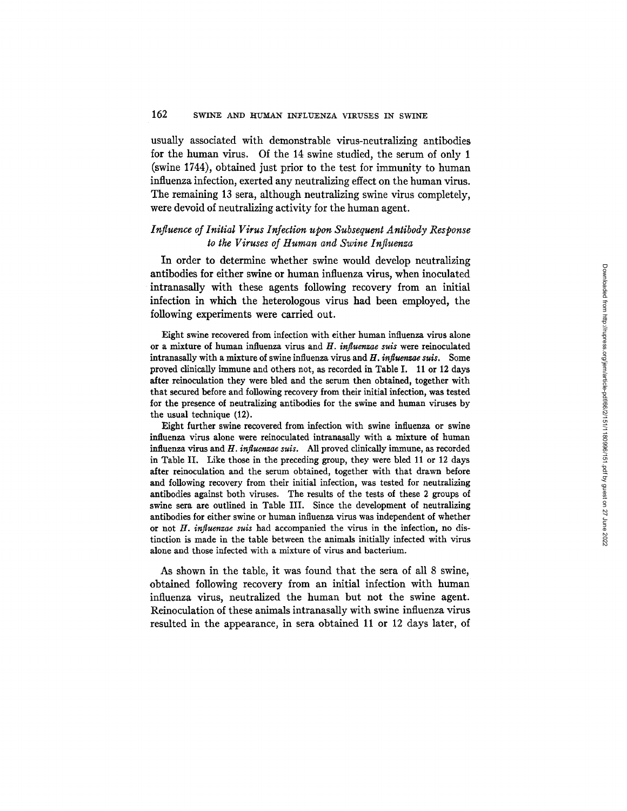usually associated with demonstrable virus-neutralizing antibodies for the human virus. Of the 14 swine studied, the serum of only 1 (swine 1744), obtained just prior to the test for immunity to human influenza infection, exerted any neutralizing effect on the human virus. The remaining 13 sera, although neutralizing swine virus completely, were devoid of neutralizing activity for the human agent.

### *Influence of Initial Virus Infection upon Subsequent Antibody Response to the Viruses of Human and Swine Influenza*

In order to determine whether swine would develop neutralizing antibodies for either swine or human influenza virus, when inoculated intranasally with these agents following recovery from an initial infection in which the heterologous virus had been employed, the following experiments were carried out.

Eight swine recovered from infection with either human influenza virus alone or a mixture of human influenza virus and *H. influenzae suis* were reinoculated intranasally with a mixture of swine influenza virus and *H. influenzae suis.* Some proved clinically immune and others not, as recorded in Table I. 11 or 12 days after reinoculation they were bled and the serum then obtained, together with that secured before and following recovery from their initial infection, was tested for the presence of neutralizing antibodies for the swine and human viruses by the usual technique (12).

Eight further swine recovered from infection with swine influenza or swine influenza virus alone were reinoculated intranasally with a mixture of human influenza virus and *H. influenzae suis.* All proved clinically immune, as recorded in Table II. Like those in the preceding group, they were bled 11 or 12 days after reinoculation and the serum obtained, together with that drawn before and following recovery from their initial infection, was tested for neutralizing antibodies against both viruses. The results of the tests of these 2 groups of swine sera are outlined in Table III. Since the development of neutralizing antibodies for either swine or human influenza virus was independent of whether or not *H. influenzae suis* had accompanied the virus in the infection, no distinction is made in the table between the animals initially infected with virus alone and those infected with a mixture of virus and bacterium.

As shown in the table, it was found that the sera of all 8 swine, obtained following recovery from an initial infection with human influenza virus, neutralized the human but not the swine agent. Reinoculation of these animals intranasally with swine influenza virus resulted in the appearance, in sera obtained 11 or 12 days later, of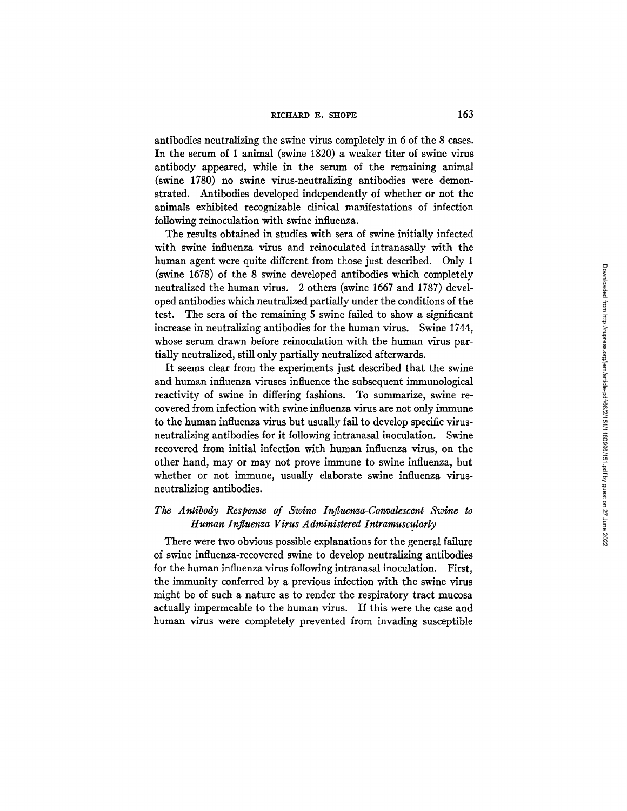antibodies neutralizing the swine virus completely in 6 of the 8 cases. In the serum of 1 animal (swine 1820) a weaker titer of swine virus antibody appeared, while in the serum of the remaining animal (swine 1780) no swine virus-neutralizing antibodies were demonstrated. Antibodies developed independently of whether or not the animals exhibited recognizable clinical manifestations of infection following reinoculation with swine influenza.

The results obtained in studies with sera of swine initially infected with swine influenza virus and reinoculated intranasally with the human agent were quite different from those just described. Only 1 (swine 1678) of the 8 swine developed antibodies which completely neutralized the human virus. 2 others (swine 1667 and 1787) developed antibodies which neutralized partially under the conditions of the test. The sera of the remaining 5 swine failed to show a significant increase in neutralizing antibodies for the human virus. Swine *1744,*  whose serum drawn before reinoculation with the human virus partially neutralized, still only partially neutralized afterwards.

It seems clear from the experiments just described that the swine and human influenza viruses influence the subsequent immunological reactivity of swine in differing fashions. To summarize, swine recovered from infection with swine influenza virus are not only immune to the human influenza virus but usually fail to develop specific virusneutralizing antibodies for it following intranasal inoculation. Swine recovered from initial infection with human influenza virus, on the other hand, may or may not prove immune to swine influenza, but whether or not immune, usually elaborate swine influenza virusneutralizing antibodies.

## *The Antibody Response of Swine Influenza-Convalescent Swine to Human Influenza Virus Administered Intramuscularly*

There were two obvious possible explanations for the general failure of swine influenza-recovered swine to develop neutralizing antibodies for the human influenza virus following intranasal inoculation. First, the immunity conferred by a previous infection with the swine virus might be of such a nature as to render the respiratory tract mucosa actually impermeable to the human virus. If this were the case and human virus were completely prevented from invading susceptible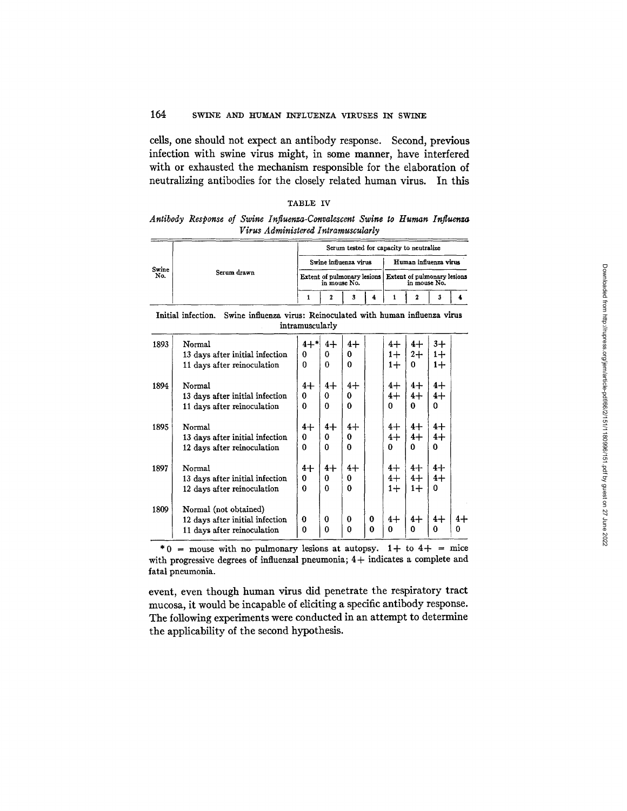### 164 SWINE AND HUMAN INFLUENZA VIRUSES IN SWINE

cells, one should not expect an antibody response. Second, previous infection with swine virus might, in some manner, have interfered with or exhausted the mechanism responsible for the elaboration of neutralizing antibodies for the closely related human virus. In this

### TABLE IV

*Antibody Response of Swine Influenza-Convalescent Swine to Human Influenza Virus Administered Intramuscularly* 

|       |             |                       | Serum tested for capacity to neutralize                                              |
|-------|-------------|-----------------------|--------------------------------------------------------------------------------------|
| Swine |             | Swine influenza virus | Human influenza virus                                                                |
| No.   | Serum drawn |                       | Extent of pulmonary lesions Extent of pulmonary lesions<br>in mouse No. in mouse No. |
|       |             |                       |                                                                                      |

Initial infection. Swine influenza virus: Reinoculated with human influenza virus intramuscularly

| 1893 | Normal                          | $4 +$ *  | $4+$         | $4+$         |          | $4+$     | $4+$ | $3+$    |    |
|------|---------------------------------|----------|--------------|--------------|----------|----------|------|---------|----|
|      | 13 days after initial infection | 0        | 0            | 0            |          | $1+$     | $2+$ | $1+$    |    |
|      | 11 days after reinoculation     | 0        | $\mathbf{0}$ | $\mathbf{0}$ |          | $1+$     | 0    | $1+$    |    |
| 1894 | Normal                          | $4+$     | $4+$         | $4+$         |          | $4+$     | $4+$ | $4+$    |    |
|      | 13 days after initial infection | 0        | 0            | 0            |          | $4+$     | $4+$ | $4+$    |    |
|      | 11 days after reinoculation     | 0        | 0            | 0            |          | 0        | 0    | 0       |    |
| 1895 | Normal                          | $4+$     | $4+$         | $4+$         |          | $^{4+}$  | $4+$ | $4+$    |    |
|      | 13 days after initial infection | 0        | 0            | 0            |          | $4+$     | $4+$ | $4+$    |    |
|      | 12 days after reinoculation     | 0        | Ω            | $\Omega$     |          | 0        | 0    | 0       |    |
| 1897 | Normal                          | $4+$     | $^{4+}$      | $4+$         |          | $4+$     | $4+$ | $4+$    |    |
|      | 13 days after initial infection | 0        | 0            | 0            |          | $4+$     | $4+$ | $4+$    |    |
|      | 12 days after reinoculation     | $\bf{0}$ | 0            | 0            |          | $1+$     | $1+$ | 0       |    |
| 1809 | Normal (not obtained)           |          |              |              |          |          |      |         |    |
|      | 12 days after initial infection | 0        | 0            | 0            | 0        | $4+$     | $4+$ | $^{4+}$ | 4+ |
|      | 11 days after reinoculation     | 0        | 0            | 0            | $\bf{0}$ | $\bf{0}$ | 0    | 0       | 0  |

\* 0 = mouse with no pulmonary lesions at autopsy.  $1+$  to  $4+$  = mice with progressive degrees of influenzal pneumonia; 4+ indicates a complete and fatal pneumonia.

event, even though human virus did penetrate the respiratory tract mucosa, it would be incapable of eliciting a specific antibody response. The following experiments were conducted in an attempt to determine the applicability of the second hypothesis.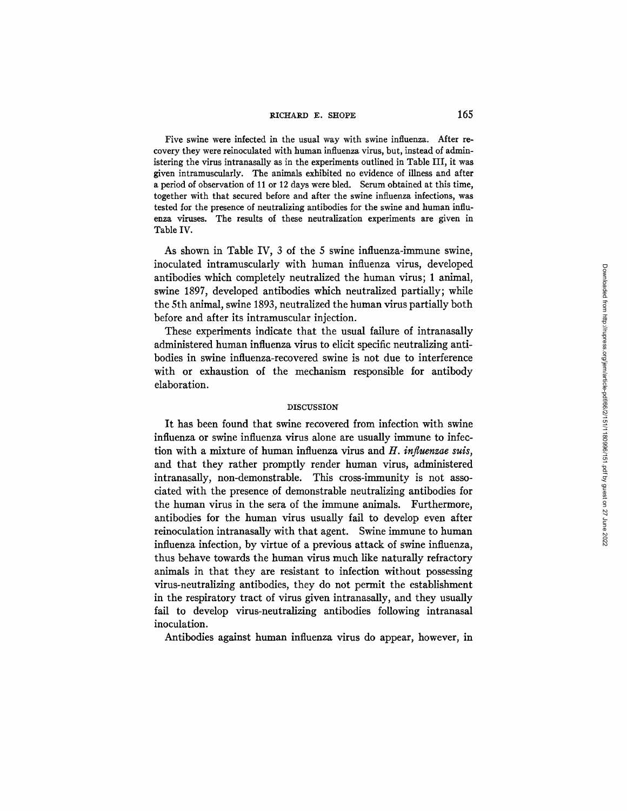#### $RICHARD E. SHOPE$  165

Five swine were infected in the usual way with swine influenza. After recovery they were reinoculated with human influenza virus, but, instead of administering the virus intranasally as in the experiments outlined in Table III, it was given intramuscularly. The animals exhibited no evidence of illness and after a period of observation of 11 or 12 days were bled. Serum obtained at this time, together with that secured before and after the swine influenza infections, was tested for the presence of neutralizing antibodies for the swine and human influenza viruses. The results of these neutralization experiments are given in Table IV.

As shown in Table IV, 3 of the 5 swine influenza-immune swine, inoculated intramuscularly with human influenza virus, developed antibodies which completely neutralized the human virus; 1 animal, swine 1897, developed antibodies which neutralized partially; while the 5th animal, swine 1893, neutralized the human virus partially both before and after its intramuscular injection.

These experiments indicate that the usual failure of intranasally administered human influenza virus to elicit specific neutralizing antibodies in swine influenza-recovered swine is not due to interference with or exhaustion of the mechanism responsible for antibody elaboration.

#### DISCUSSION

It has been found that swine recovered from infection with swine influenza or swine influenza virus alone are usually immune to infection with a mixture of human influenza virus and *H. influenzae suis,*  and that they rather promptly render human virus, administered intranasaily, non-demonstrable. This cross-immunity is not associated with the presence of demonstrable neutralizing antibodies for the human virus in the sera of the immune animals. Furthermore, antibodies for the human virus usually fail to develop even after reinoculation intranasally with that agent. Swine immune to human influenza infection, by virtue of a previous attack of swine influenza, thus behave towards the human virus much like naturally refractory animals in that they are resistant to infection without possessing virus-neutralizing antibodies, they do not permit the establishment in the respiratory tract of virus given intranasally, and they usually fail to develop virus-neutralizing antibodies following intranasal inoculation.

Antibodies against human influenza virus do appear, however, in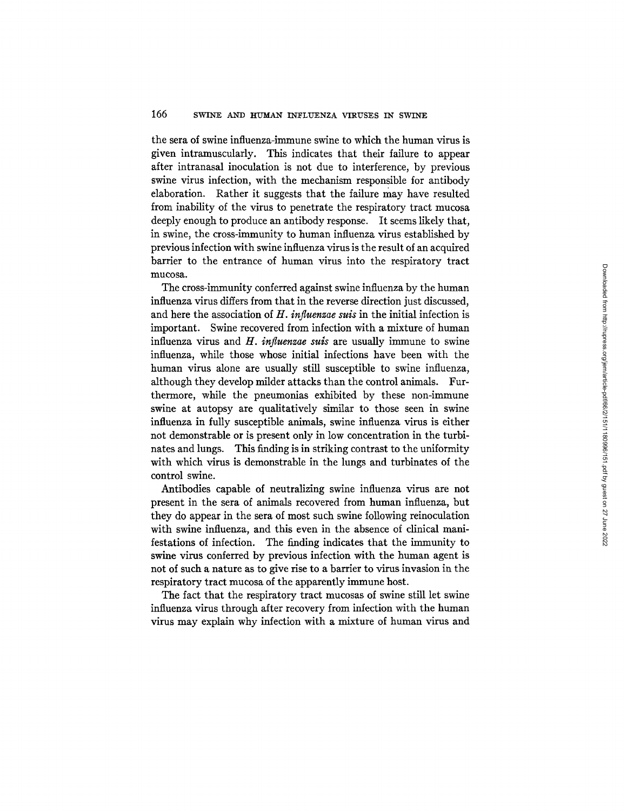the sera of swine influenza-immune swine to which the human virus is given intramuscularly. This indicates that their failure to appear after intranasal inoculation is not due to interference, by previous swine virus infection, with the mechanism responsible for antibody elaboration. Rather it suggests that the failure may have resulted from inability of the virus to penetrate the respiratory tract mucosa deeply enough to produce an antibody response. It seems likely that, in swine, the cross-immunity to human influenza virus established by previous infection with swine influenza virus is the result of an acquired barrier to the entrance of human virus into the respiratory tract mucosa.

The cross-immunity conferred against swine influenza by the human influenza virus differs from that in the reverse direction just discussed, and here the association of *H. influenzae suis* in the initial infection is important. Swine recovered from infection with a mixture of human influenza virus and  $H$ . *influenzae suis* are usually immune to swine influenza, while those whose initial infections have been with the human virus alone are usually still susceptible to swine influenza, although they develop milder attacks than the control animals. Furthermore, while the pneumonias exhibited by these non-immune swine at autopsy are qualitatively similar to those seen in swine influenza in fully susceptible animals, swine influenza virus is either not demonstrable or is present only in low concentration in the turbihates and lungs. This finding is in striking contrast to the uniformity with which virus is demonstrable in the lungs and turbinates of the control swine.

Antibodies capable of neutralizing swine influenza virus are not present in the sera of animals recovered from human influenza, but they do appear in the sera of most such swine following reinoculation with swine influenza, and this even in the absence of clinical manifestations of infection. The finding indicates that the immunity to swine virus conferred by previous infection with the human agent is not of such a nature as to give rise to a barrier to virus invasion in the respiratory tract mucosa of the apparently immune host.

The fact that the respiratory tract mucosas of swine still let swine influenza virus through after recovery from infection with the human virus may explain why infection with a mixture of human virus and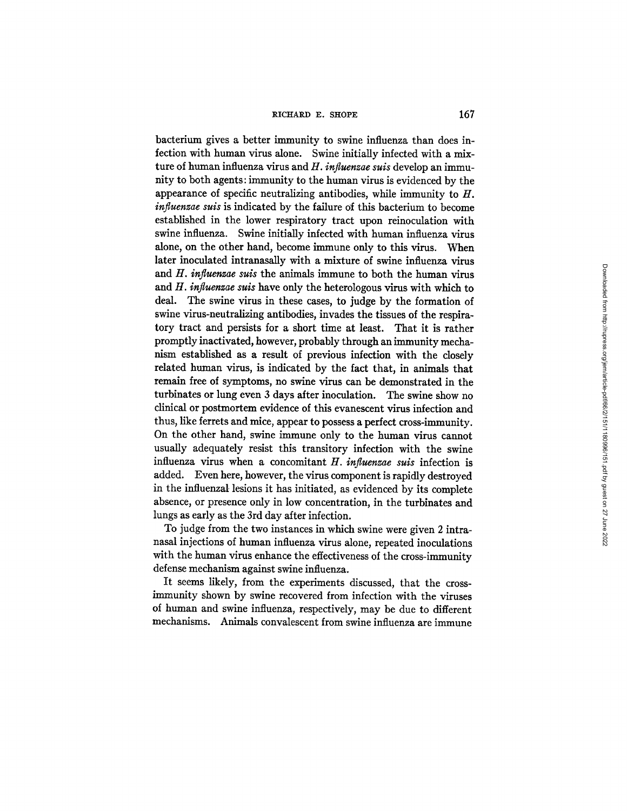bacterium gives a better immunity to swine influenza than does infection with human virus alone. Swine initially infected with a mixture of human influenza virus and *H. influenzae suis* develop an immunity to both agents: immunity to the human virus is evidenced by the appearance of specific neutralizing antibodies, while immunity to  $H$ . *influenzae suis* is indicated by the failure of this bacterium to become established in the lower respiratory tract upon reinoculation with swine influenza. Swine initially infected with human influenza virus alone, on the other hand, become immune only to this virus. When later inoculated intranasally with a mixture of swine influenza virus and *H. influemae suis* the animals immune to both the human virus and *H. influenzae suis* have only the heterologous virus with which to deal. The swine virus in these cases, to judge by the formation of swine virus-neutralizing antibodies, invades the tissues of the respiratory tract and persists for a short time at least. That it is rather promptly inactivated, however, probably through an immunity mechanism established as a result of previous infection with the closely related human virus, is indicated by the fact that, in animals that remain free of symptoms, no swine virus can be demonstrated in the turbinates or lung even 3 days after inoculation. The swine show no clinical or postmortem evidence of this evanescent virus infection and thus, like ferrets and mice, appear to possess a perfect cross-immunity. On the other hand, swine immune only to the human virus cannot usually adequately resist this transitory infection with the swine influenza virus when a concomitant *H. influenzae suis* infection is added. Even here, however, the virus component is rapidly destroyed in the influenzal lesions it has initiated, as evidenced by its complete absence, or presence only in low concentration, in the turbinates and lungs as early as the 3rd day after infection.

To judge from the two instances in which swine were given 2 intranasal injections of human influenza virus alone, repeated inoculations with the human virus enhance the effectiveness of the cross-immunity defense mechanism against swine influenza.

It seems likely, from the experiments discussed, that the crossimmunity shown by swine recovered from infection with the viruses of human and swine influenza, respectively, may be due to different mechanisms. Animals convalescent from swine influenza are immune